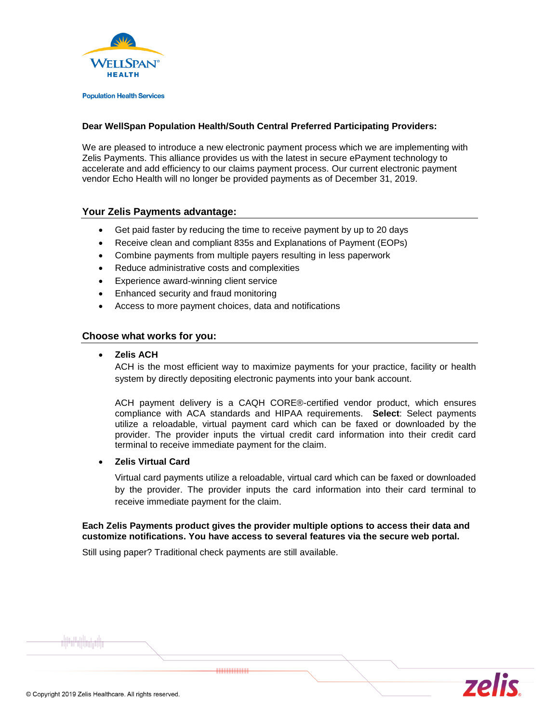

**Population Health Services** 

## **Dear WellSpan Population Health/South Central Preferred Participating Providers:**

We are pleased to introduce a new electronic payment process which we are implementing with Zelis Payments. This alliance provides us with the latest in secure ePayment technology to accelerate and add efficiency to our claims payment process. Our current electronic payment vendor Echo Health will no longer be provided payments as of December 31, 2019.

# **Your Zelis Payments advantage:**

- Get paid faster by reducing the time to receive payment by up to 20 days
- Receive clean and compliant 835s and Explanations of Payment (EOPs)
- Combine payments from multiple payers resulting in less paperwork
- Reduce administrative costs and complexities
- Experience award-winning client service
- Enhanced security and fraud monitoring
- Access to more payment choices, data and notifications

# **Choose what works for you:**

### • **Zelis ACH**

ACH is the most efficient way to maximize payments for your practice, facility or health system by directly depositing electronic payments into your bank account.

ACH payment delivery is a CAQH CORE®-certified vendor product, which ensures compliance with ACA standards and HIPAA requirements. **Select**: Select payments utilize a reloadable, virtual payment card which can be faxed or downloaded by the provider. The provider inputs the virtual credit card information into their credit card terminal to receive immediate payment for the claim.

# • **Zelis Virtual Card**

Virtual card payments utilize a reloadable, virtual card which can be faxed or downloaded by the provider. The provider inputs the card information into their card terminal to receive immediate payment for the claim.

**Each Zelis Payments product gives the provider multiple options to access their data and customize notifications. You have access to several features via the secure web portal.** 

Still using paper? Traditional check payments are still available.

............



الرابان